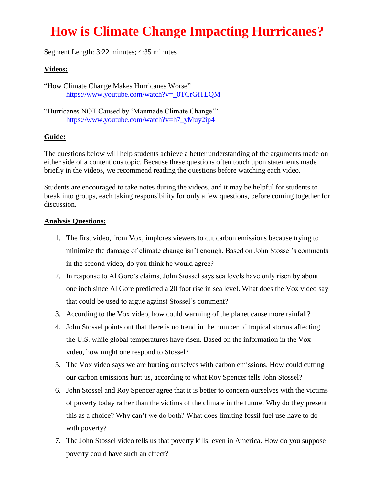## **How is Climate Change Impacting Hurricanes?**

Segment Length: 3:22 minutes; 4:35 minutes

## **Videos:**

"How Climate Change Makes Hurricanes Worse" [https://www.youtube.com/watch?v=\\_0TCrGtTEQM](https://www.youtube.com/watch?v=_0TCrGtTEQM)

"Hurricanes NOT Caused by 'Manmade Climate Change'" [https://www.youtube.com/watch?v=h7\\_yMuy2ip4](https://www.youtube.com/watch?v=h7_yMuy2ip4)

## **Guide:**

The questions below will help students achieve a better understanding of the arguments made on either side of a contentious topic. Because these questions often touch upon statements made briefly in the videos, we recommend reading the questions before watching each video.

Students are encouraged to take notes during the videos, and it may be helpful for students to break into groups, each taking responsibility for only a few questions, before coming together for discussion.

## **Analysis Questions:**

- 1. The first video, from Vox, implores viewers to cut carbon emissions because trying to minimize the damage of climate change isn't enough. Based on John Stossel's comments in the second video, do you think he would agree?
- 2. In response to Al Gore's claims, John Stossel says sea levels have only risen by about one inch since Al Gore predicted a 20 foot rise in sea level. What does the Vox video say that could be used to argue against Stossel's comment?
- 3. According to the Vox video, how could warming of the planet cause more rainfall?
- 4. John Stossel points out that there is no trend in the number of tropical storms affecting the U.S. while global temperatures have risen. Based on the information in the Vox video, how might one respond to Stossel?
- 5. The Vox video says we are hurting ourselves with carbon emissions. How could cutting our carbon emissions hurt us, according to what Roy Spencer tells John Stossel?
- 6. John Stossel and Roy Spencer agree that it is better to concern ourselves with the victims of poverty today rather than the victims of the climate in the future. Why do they present this as a choice? Why can't we do both? What does limiting fossil fuel use have to do with poverty?
- 7. The John Stossel video tells us that poverty kills, even in America. How do you suppose poverty could have such an effect?